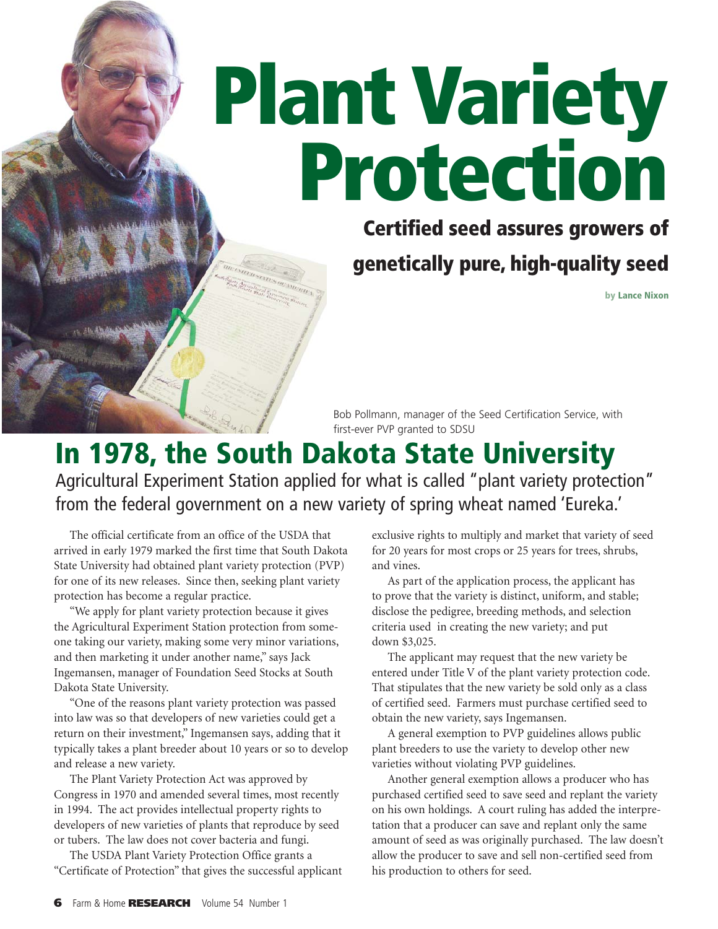## **Plant Variety Protection**

## **Certified seed assures growers of genetically pure, high-quality seed**

**by Lance Nixon**

Bob Pollmann, manager of the Seed Certification Service, with first-ever PVP granted to SDSU

## **In 1978, the South Dakota State University** Agricultural Experiment Station applied for what is called "plant variety protection" from the federal government on a new variety of spring wheat named 'Eureka.'

The official certificate from an office of the USDA that arrived in early 1979 marked the first time that South Dakota State University had obtained plant variety protection (PVP) for one of its new releases. Since then, seeking plant variety protection has become a regular practice.

"We apply for plant variety protection because it gives the Agricultural Experiment Station protection from someone taking our variety, making some very minor variations, and then marketing it under another name," says Jack Ingemansen, manager of Foundation Seed Stocks at South Dakota State University.

"One of the reasons plant variety protection was passed into law was so that developers of new varieties could get a return on their investment," Ingemansen says, adding that it typically takes a plant breeder about 10 years or so to develop and release a new variety.

The Plant Variety Protection Act was approved by Congress in 1970 and amended several times, most recently in 1994. The act provides intellectual property rights to developers of new varieties of plants that reproduce by seed or tubers. The law does not cover bacteria and fungi.

The USDA Plant Variety Protection Office grants a "Certificate of Protection" that gives the successful applicant

exclusive rights to multiply and market that variety of seed for 20 years for most crops or 25 years for trees, shrubs, and vines.

As part of the application process, the applicant has to prove that the variety is distinct, uniform, and stable; disclose the pedigree, breeding methods, and selection criteria used in creating the new variety; and put down \$3,025.

The applicant may request that the new variety be entered under Title V of the plant variety protection code. That stipulates that the new variety be sold only as a class of certified seed. Farmers must purchase certified seed to obtain the new variety, says Ingemansen.

A general exemption to PVP guidelines allows public plant breeders to use the variety to develop other new varieties without violating PVP guidelines.

Another general exemption allows a producer who has purchased certified seed to save seed and replant the variety on his own holdings. A court ruling has added the interpretation that a producer can save and replant only the same amount of seed as was originally purchased. The law doesn't allow the producer to save and sell non-certified seed from his production to others for seed.